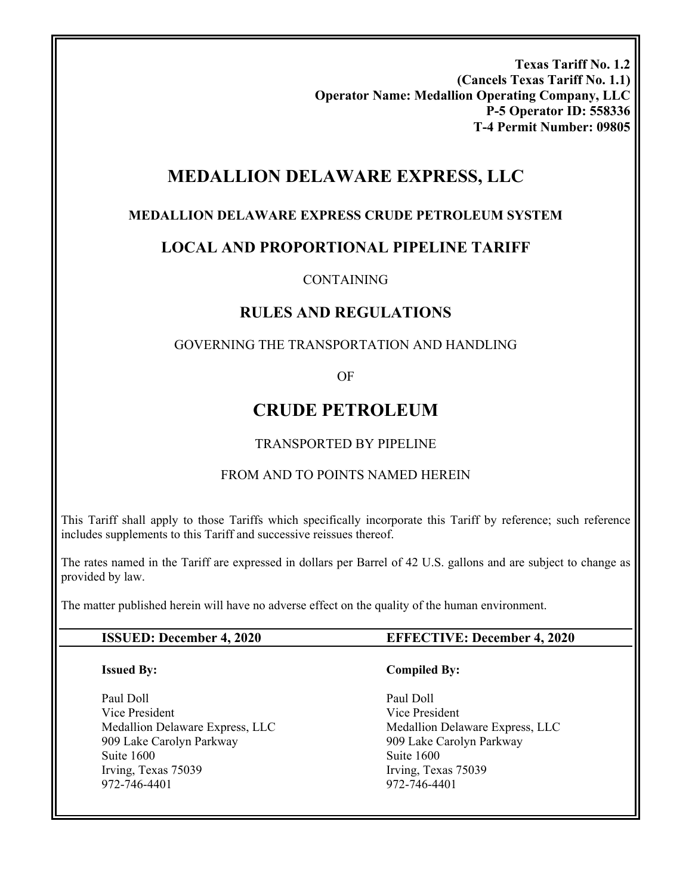**Texas Tariff No. 1.2 (Cancels Texas Tariff No. 1.1) Operator Name: Medallion Operating Company, LLC P-5 Operator ID: 558336 T-4 Permit Number: 09805** 

# **MEDALLION DELAWARE EXPRESS, LLC**

### **MEDALLION DELAWARE EXPRESS CRUDE PETROLEUM SYSTEM**

### **LOCAL AND PROPORTIONAL PIPELINE TARIFF**

#### CONTAINING

### **RULES AND REGULATIONS**

### GOVERNING THE TRANSPORTATION AND HANDLING

OF

# **CRUDE PETROLEUM**

#### TRANSPORTED BY PIPELINE

### FROM AND TO POINTS NAMED HEREIN

This Tariff shall apply to those Tariffs which specifically incorporate this Tariff by reference; such reference includes supplements to this Tariff and successive reissues thereof.

The rates named in the Tariff are expressed in dollars per Barrel of 42 U.S. gallons and are subject to change as provided by law.

The matter published herein will have no adverse effect on the quality of the human environment.

#### **ISSUED: December 4, 2020 EFFECTIVE: December 4, 2020**

#### **Issued By:**

Paul Doll Vice President Medallion Delaware Express, LLC 909 Lake Carolyn Parkway Suite 1600 Irving, Texas 75039 972-746-4401

#### **Compiled By:**

Paul Doll Vice President Medallion Delaware Express, LLC 909 Lake Carolyn Parkway Suite 1600 Irving, Texas 75039 972-746-4401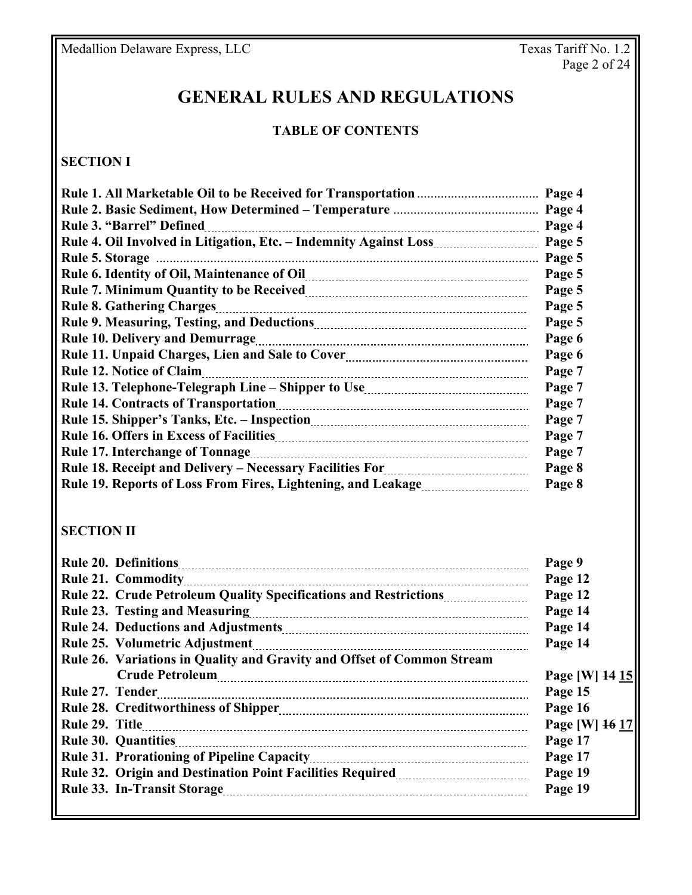# **GENERAL RULES AND REGULATIONS**

#### **TABLE OF CONTENTS**

### **SECTION I**

|                                                                                                                             | Page 4 |
|-----------------------------------------------------------------------------------------------------------------------------|--------|
|                                                                                                                             | Page 4 |
| <b>Rule 3. "Barrel" Defined</b>                                                                                             | Page 4 |
|                                                                                                                             | Page 5 |
|                                                                                                                             | Page 5 |
|                                                                                                                             | Page 5 |
|                                                                                                                             | Page 5 |
| <b>Rule 8. Gathering Charges</b>                                                                                            | Page 5 |
|                                                                                                                             | Page 5 |
|                                                                                                                             | Page 6 |
|                                                                                                                             | Page 6 |
|                                                                                                                             | Page 7 |
|                                                                                                                             | Page 7 |
|                                                                                                                             | Page 7 |
|                                                                                                                             | Page 7 |
|                                                                                                                             | Page 7 |
|                                                                                                                             | Page 7 |
| Rule 18. Receipt and Delivery - Necessary Facilities For <b>Marting 18. Receipt and Delivery - Necessary Facilities For</b> | Page 8 |
|                                                                                                                             | Page 8 |

# **SECTION II**

| <b>Rule 20. Definitions</b>                                            | Page 9         |
|------------------------------------------------------------------------|----------------|
|                                                                        | Page 12        |
| Rule 22. Crude Petroleum Quality Specifications and Restrictions       | Page 12        |
|                                                                        | Page 14        |
|                                                                        | Page 14        |
| <b>Rule 25. Volumetric Adjustment</b>                                  | Page 14        |
| Rule 26. Variations in Quality and Gravity and Offset of Common Stream |                |
|                                                                        | Page [W] 14 15 |
| Rule 27. Tender                                                        | Page 15        |
|                                                                        | Page 16        |
| Rule 29. Title                                                         | Page [W] 16 17 |
|                                                                        | Page 17        |
|                                                                        | Page 17        |
|                                                                        | Page 19        |
|                                                                        | Page 19        |
|                                                                        |                |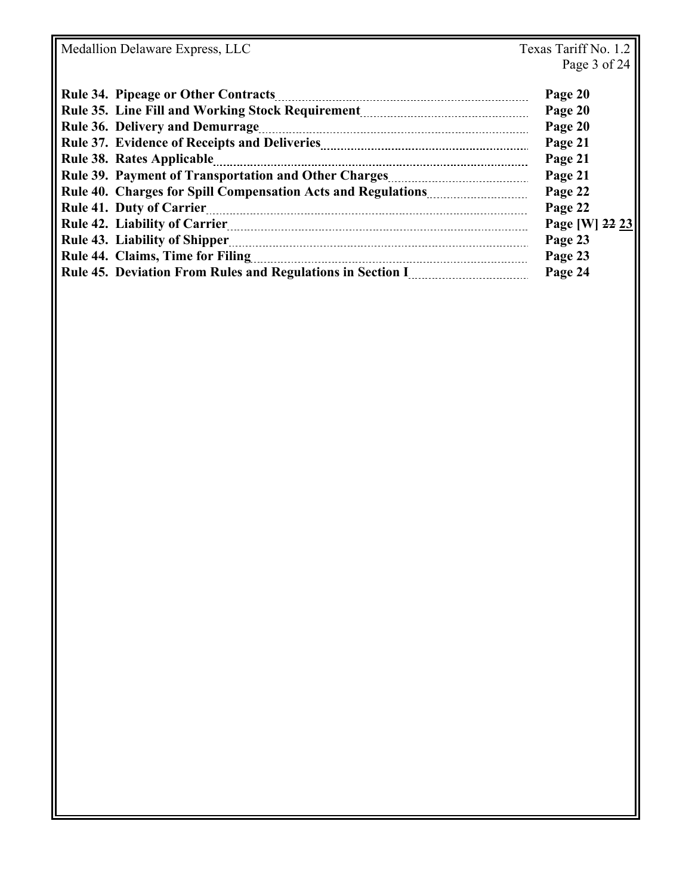Medallion Delaware Express, LLC

| <b>Rule 34. Pipeage or Other Contracts</b> | Page 20        |
|--------------------------------------------|----------------|
|                                            | Page 20        |
| <b>Rule 36. Delivery and Demurrage</b>     | Page 20        |
|                                            | Page 21        |
|                                            | Page 21        |
|                                            | Page 21        |
|                                            | Page 22        |
|                                            | Page 22        |
|                                            | Page [W] 22 23 |
|                                            | Page 23        |
| Rule 44. Claims, Time for Filing           | Page 23        |
|                                            | Page 24        |
|                                            |                |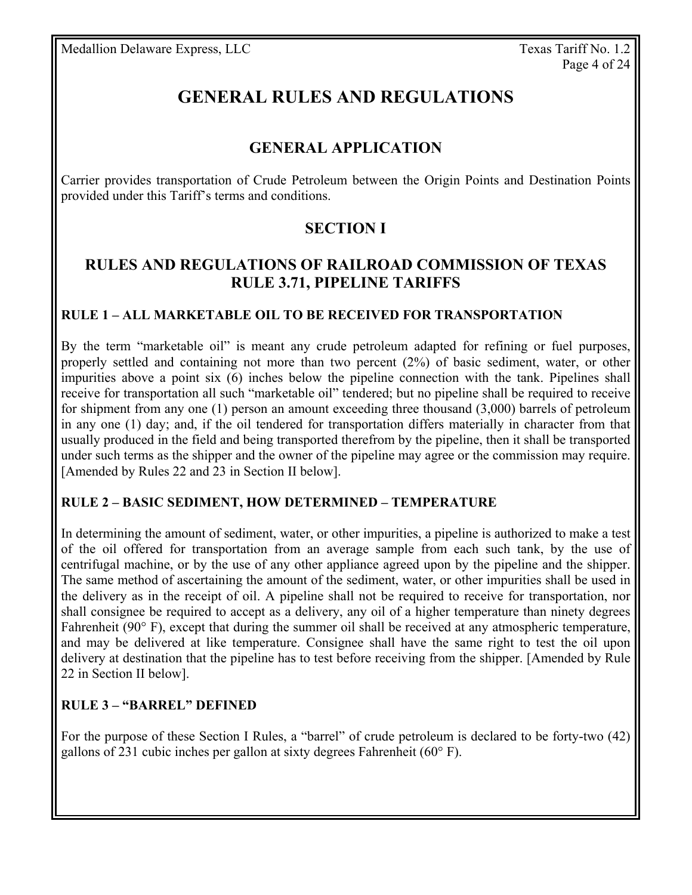# **GENERAL RULES AND REGULATIONS**

# **GENERAL APPLICATION**

Carrier provides transportation of Crude Petroleum between the Origin Points and Destination Points provided under this Tariff's terms and conditions.

# **SECTION I**

### **RULES AND REGULATIONS OF RAILROAD COMMISSION OF TEXAS RULE 3.71, PIPELINE TARIFFS**

### **RULE 1 – ALL MARKETABLE OIL TO BE RECEIVED FOR TRANSPORTATION**

By the term "marketable oil" is meant any crude petroleum adapted for refining or fuel purposes, properly settled and containing not more than two percent (2%) of basic sediment, water, or other impurities above a point six (6) inches below the pipeline connection with the tank. Pipelines shall receive for transportation all such "marketable oil" tendered; but no pipeline shall be required to receive for shipment from any one (1) person an amount exceeding three thousand (3,000) barrels of petroleum in any one (1) day; and, if the oil tendered for transportation differs materially in character from that usually produced in the field and being transported therefrom by the pipeline, then it shall be transported under such terms as the shipper and the owner of the pipeline may agree or the commission may require. [Amended by Rules 22 and 23 in Section II below].

### **RULE 2 – BASIC SEDIMENT, HOW DETERMINED – TEMPERATURE**

In determining the amount of sediment, water, or other impurities, a pipeline is authorized to make a test of the oil offered for transportation from an average sample from each such tank, by the use of centrifugal machine, or by the use of any other appliance agreed upon by the pipeline and the shipper. The same method of ascertaining the amount of the sediment, water, or other impurities shall be used in the delivery as in the receipt of oil. A pipeline shall not be required to receive for transportation, nor shall consignee be required to accept as a delivery, any oil of a higher temperature than ninety degrees Fahrenheit (90° F), except that during the summer oil shall be received at any atmospheric temperature, and may be delivered at like temperature. Consignee shall have the same right to test the oil upon delivery at destination that the pipeline has to test before receiving from the shipper. [Amended by Rule 22 in Section II below].

### **RULE 3 – "BARREL" DEFINED**

For the purpose of these Section I Rules, a "barrel" of crude petroleum is declared to be forty-two (42) gallons of 231 cubic inches per gallon at sixty degrees Fahrenheit (60° F).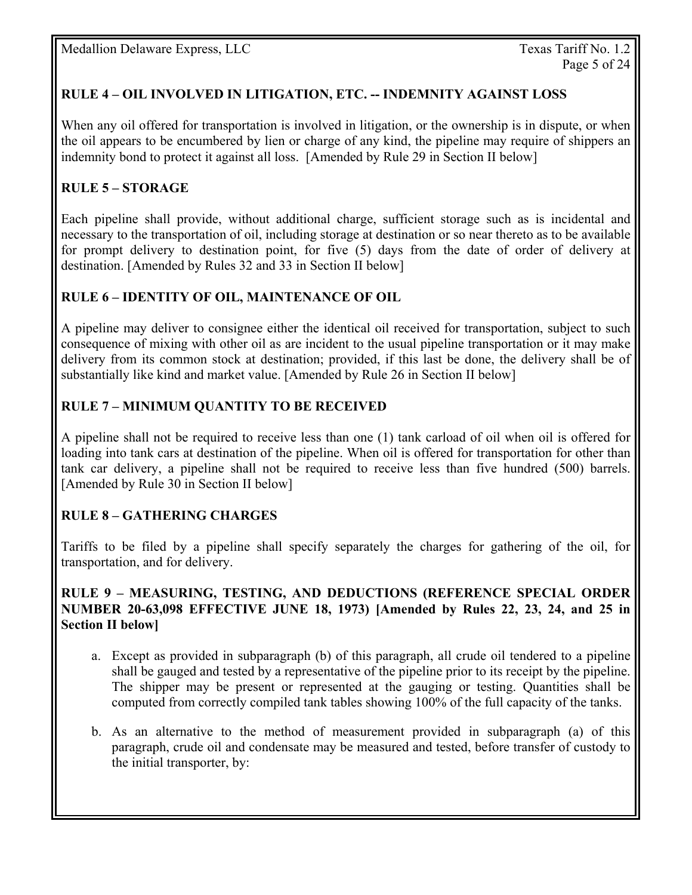### **RULE 4 – OIL INVOLVED IN LITIGATION, ETC. -- INDEMNITY AGAINST LOSS**

When any oil offered for transportation is involved in litigation, or the ownership is in dispute, or when the oil appears to be encumbered by lien or charge of any kind, the pipeline may require of shippers an indemnity bond to protect it against all loss. [Amended by Rule 29 in Section II below]

### **RULE 5 – STORAGE**

Each pipeline shall provide, without additional charge, sufficient storage such as is incidental and necessary to the transportation of oil, including storage at destination or so near thereto as to be available for prompt delivery to destination point, for five (5) days from the date of order of delivery at destination. [Amended by Rules 32 and 33 in Section II below]

### **RULE 6 – IDENTITY OF OIL, MAINTENANCE OF OIL**

A pipeline may deliver to consignee either the identical oil received for transportation, subject to such consequence of mixing with other oil as are incident to the usual pipeline transportation or it may make delivery from its common stock at destination; provided, if this last be done, the delivery shall be of substantially like kind and market value. [Amended by Rule 26 in Section II below]

### **RULE 7 – MINIMUM QUANTITY TO BE RECEIVED**

A pipeline shall not be required to receive less than one (1) tank carload of oil when oil is offered for loading into tank cars at destination of the pipeline. When oil is offered for transportation for other than tank car delivery, a pipeline shall not be required to receive less than five hundred (500) barrels. [Amended by Rule 30 in Section II below]

### **RULE 8 – GATHERING CHARGES**

Tariffs to be filed by a pipeline shall specify separately the charges for gathering of the oil, for transportation, and for delivery.

#### **RULE 9 – MEASURING, TESTING, AND DEDUCTIONS (REFERENCE SPECIAL ORDER NUMBER 20-63,098 EFFECTIVE JUNE 18, 1973) [Amended by Rules 22, 23, 24, and 25 in Section II below]**

- a. Except as provided in subparagraph (b) of this paragraph, all crude oil tendered to a pipeline shall be gauged and tested by a representative of the pipeline prior to its receipt by the pipeline. The shipper may be present or represented at the gauging or testing. Quantities shall be computed from correctly compiled tank tables showing 100% of the full capacity of the tanks.
- b. As an alternative to the method of measurement provided in subparagraph (a) of this paragraph, crude oil and condensate may be measured and tested, before transfer of custody to the initial transporter, by: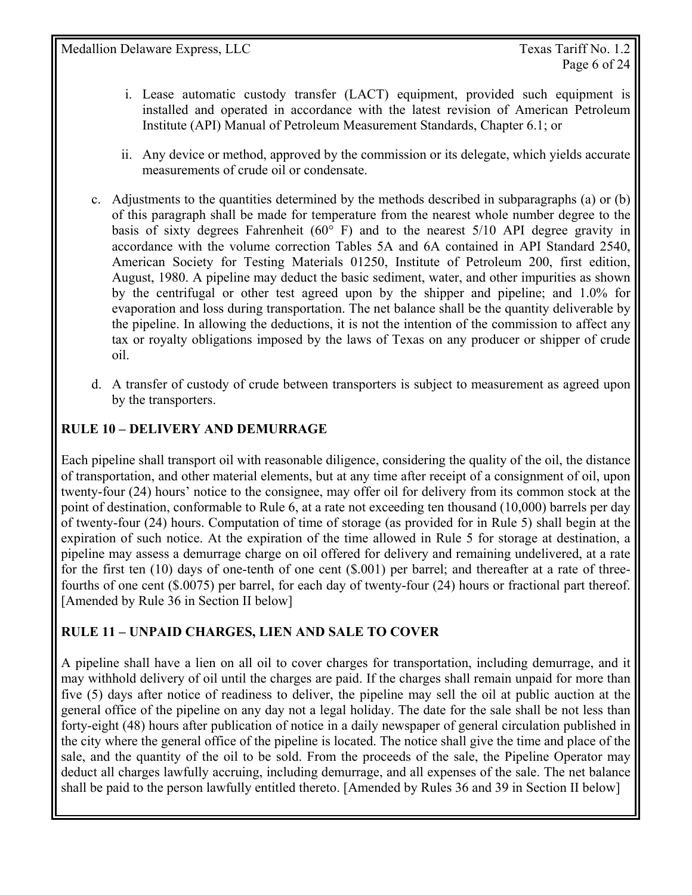- i. Lease automatic custody transfer (LACT) equipment, provided such equipment is installed and operated in accordance with the latest revision of American Petroleum Institute (API) Manual of Petroleum Measurement Standards, Chapter 6.1; or
- ii. Any device or method, approved by the commission or its delegate, which yields accurate measurements of crude oil or condensate.
- c. Adjustments to the quantities determined by the methods described in subparagraphs (a) or (b) of this paragraph shall be made for temperature from the nearest whole number degree to the basis of sixty degrees Fahrenheit ( $60^{\circ}$  F) and to the nearest 5/10 API degree gravity in accordance with the volume correction Tables 5A and 6A contained in API Standard 2540, American Society for Testing Materials 01250, Institute of Petroleum 200, first edition, August, 1980. A pipeline may deduct the basic sediment, water, and other impurities as shown by the centrifugal or other test agreed upon by the shipper and pipeline; and 1.0% for evaporation and loss during transportation. The net balance shall be the quantity deliverable by the pipeline. In allowing the deductions, it is not the intention of the commission to affect any tax or royalty obligations imposed by the laws of Texas on any producer or shipper of crude oil.
- d. A transfer of custody of crude between transporters is subject to measurement as agreed upon by the transporters.

### **RULE 10 – DELIVERY AND DEMURRAGE**

Each pipeline shall transport oil with reasonable diligence, considering the quality of the oil, the distance of transportation, and other material elements, but at any time after receipt of a consignment of oil, upon twenty-four (24) hours' notice to the consignee, may offer oil for delivery from its common stock at the point of destination, conformable to Rule 6, at a rate not exceeding ten thousand (10,000) barrels per day of twenty-four (24) hours. Computation of time of storage (as provided for in Rule 5) shall begin at the expiration of such notice. At the expiration of the time allowed in Rule 5 for storage at destination, a pipeline may assess a demurrage charge on oil offered for delivery and remaining undelivered, at a rate for the first ten (10) days of one-tenth of one cent (\$.001) per barrel; and thereafter at a rate of threefourths of one cent (\$.0075) per barrel, for each day of twenty-four (24) hours or fractional part thereof. [Amended by Rule 36 in Section II below]

### **RULE 11 – UNPAID CHARGES, LIEN AND SALE TO COVER**

A pipeline shall have a lien on all oil to cover charges for transportation, including demurrage, and it may withhold delivery of oil until the charges are paid. If the charges shall remain unpaid for more than five (5) days after notice of readiness to deliver, the pipeline may sell the oil at public auction at the general office of the pipeline on any day not a legal holiday. The date for the sale shall be not less than forty-eight (48) hours after publication of notice in a daily newspaper of general circulation published in the city where the general office of the pipeline is located. The notice shall give the time and place of the sale, and the quantity of the oil to be sold. From the proceeds of the sale, the Pipeline Operator may deduct all charges lawfully accruing, including demurrage, and all expenses of the sale. The net balance shall be paid to the person lawfully entitled thereto. [Amended by Rules 36 and 39 in Section II below]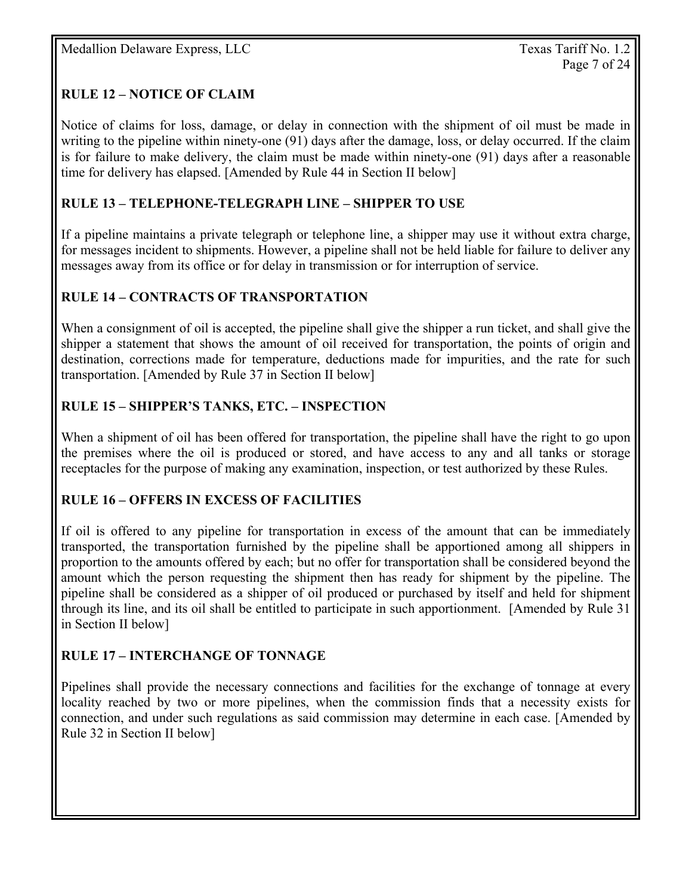### **RULE 12 – NOTICE OF CLAIM**

Notice of claims for loss, damage, or delay in connection with the shipment of oil must be made in writing to the pipeline within ninety-one (91) days after the damage, loss, or delay occurred. If the claim is for failure to make delivery, the claim must be made within ninety-one (91) days after a reasonable time for delivery has elapsed. [Amended by Rule 44 in Section II below]

### **RULE 13 – TELEPHONE-TELEGRAPH LINE – SHIPPER TO USE**

If a pipeline maintains a private telegraph or telephone line, a shipper may use it without extra charge, for messages incident to shipments. However, a pipeline shall not be held liable for failure to deliver any messages away from its office or for delay in transmission or for interruption of service.

### **RULE 14 – CONTRACTS OF TRANSPORTATION**

When a consignment of oil is accepted, the pipeline shall give the shipper a run ticket, and shall give the shipper a statement that shows the amount of oil received for transportation, the points of origin and destination, corrections made for temperature, deductions made for impurities, and the rate for such transportation. [Amended by Rule 37 in Section II below]

### **RULE 15 – SHIPPER'S TANKS, ETC. – INSPECTION**

When a shipment of oil has been offered for transportation, the pipeline shall have the right to go upon the premises where the oil is produced or stored, and have access to any and all tanks or storage receptacles for the purpose of making any examination, inspection, or test authorized by these Rules.

### **RULE 16 – OFFERS IN EXCESS OF FACILITIES**

If oil is offered to any pipeline for transportation in excess of the amount that can be immediately transported, the transportation furnished by the pipeline shall be apportioned among all shippers in proportion to the amounts offered by each; but no offer for transportation shall be considered beyond the amount which the person requesting the shipment then has ready for shipment by the pipeline. The pipeline shall be considered as a shipper of oil produced or purchased by itself and held for shipment through its line, and its oil shall be entitled to participate in such apportionment. [Amended by Rule 31 in Section II below]

### **RULE 17 – INTERCHANGE OF TONNAGE**

Pipelines shall provide the necessary connections and facilities for the exchange of tonnage at every locality reached by two or more pipelines, when the commission finds that a necessity exists for connection, and under such regulations as said commission may determine in each case. [Amended by Rule 32 in Section II below]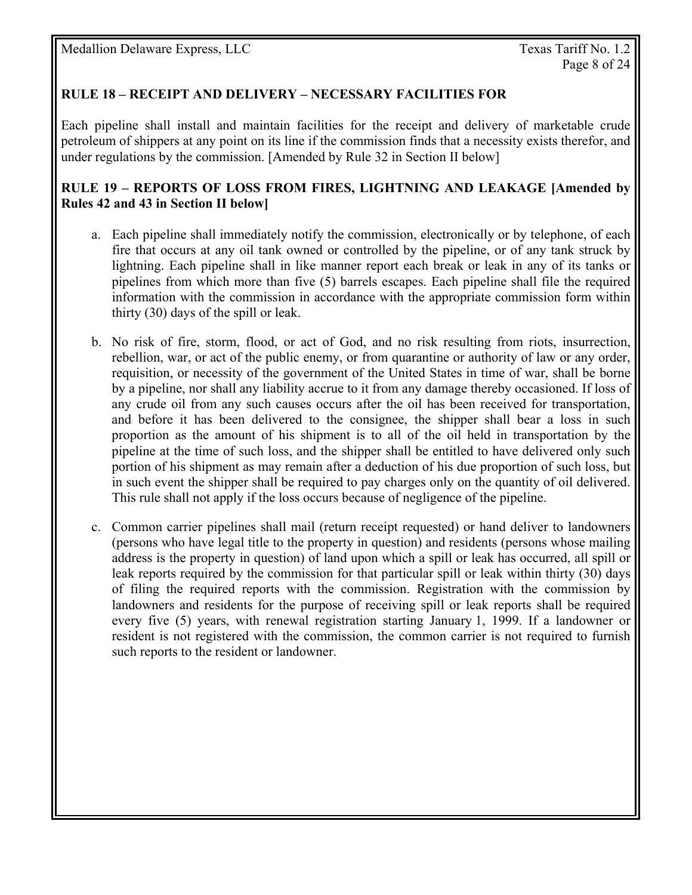### **RULE 18 – RECEIPT AND DELIVERY – NECESSARY FACILITIES FOR**

Each pipeline shall install and maintain facilities for the receipt and delivery of marketable crude petroleum of shippers at any point on its line if the commission finds that a necessity exists therefor, and under regulations by the commission. [Amended by Rule 32 in Section II below]

#### **RULE 19 – REPORTS OF LOSS FROM FIRES, LIGHTNING AND LEAKAGE [Amended by Rules 42 and 43 in Section II below]**

- a. Each pipeline shall immediately notify the commission, electronically or by telephone, of each fire that occurs at any oil tank owned or controlled by the pipeline, or of any tank struck by lightning. Each pipeline shall in like manner report each break or leak in any of its tanks or pipelines from which more than five (5) barrels escapes. Each pipeline shall file the required information with the commission in accordance with the appropriate commission form within thirty (30) days of the spill or leak.
- b. No risk of fire, storm, flood, or act of God, and no risk resulting from riots, insurrection, rebellion, war, or act of the public enemy, or from quarantine or authority of law or any order, requisition, or necessity of the government of the United States in time of war, shall be borne by a pipeline, nor shall any liability accrue to it from any damage thereby occasioned. If loss of any crude oil from any such causes occurs after the oil has been received for transportation, and before it has been delivered to the consignee, the shipper shall bear a loss in such proportion as the amount of his shipment is to all of the oil held in transportation by the pipeline at the time of such loss, and the shipper shall be entitled to have delivered only such portion of his shipment as may remain after a deduction of his due proportion of such loss, but in such event the shipper shall be required to pay charges only on the quantity of oil delivered. This rule shall not apply if the loss occurs because of negligence of the pipeline.
- c. Common carrier pipelines shall mail (return receipt requested) or hand deliver to landowners (persons who have legal title to the property in question) and residents (persons whose mailing address is the property in question) of land upon which a spill or leak has occurred, all spill or leak reports required by the commission for that particular spill or leak within thirty (30) days of filing the required reports with the commission. Registration with the commission by landowners and residents for the purpose of receiving spill or leak reports shall be required every five (5) years, with renewal registration starting January 1, 1999. If a landowner or resident is not registered with the commission, the common carrier is not required to furnish such reports to the resident or landowner.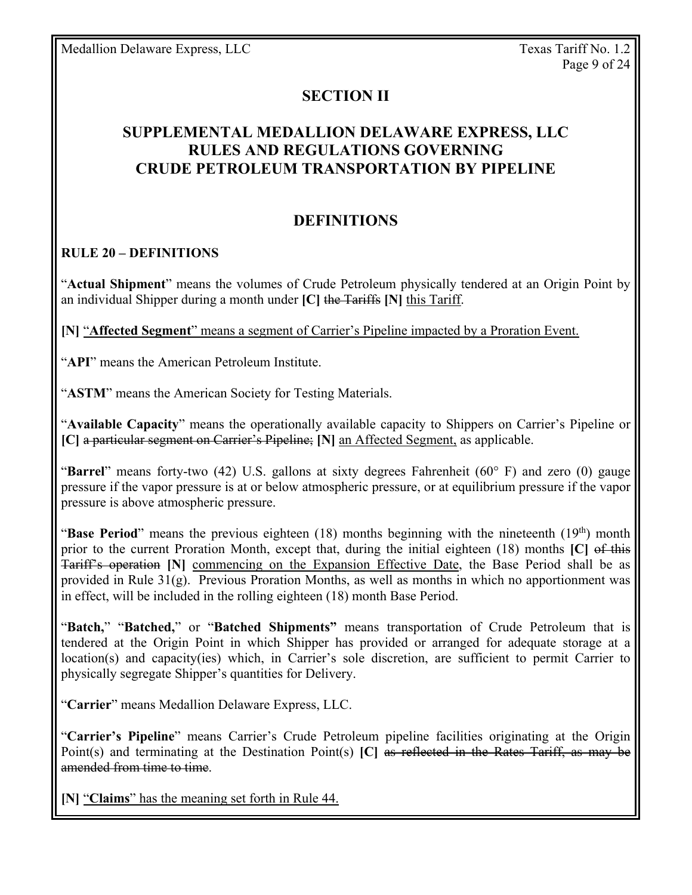### **SECTION II**

# **SUPPLEMENTAL MEDALLION DELAWARE EXPRESS, LLC RULES AND REGULATIONS GOVERNING CRUDE PETROLEUM TRANSPORTATION BY PIPELINE**

### **DEFINITIONS**

#### **RULE 20 – DEFINITIONS**

"**Actual Shipment**" means the volumes of Crude Petroleum physically tendered at an Origin Point by an individual Shipper during a month under **[C]** the Tariffs **[N]** this Tariff.

**[N]** "**Affected Segment**" means a segment of Carrier's Pipeline impacted by a Proration Event.

"**API**" means the American Petroleum Institute.

"**ASTM**" means the American Society for Testing Materials.

"**Available Capacity**" means the operationally available capacity to Shippers on Carrier's Pipeline or **[C]** a particular segment on Carrier's Pipeline; **[N]** an Affected Segment, as applicable.

"**Barrel**" means forty-two (42) U.S. gallons at sixty degrees Fahrenheit (60° F) and zero (0) gauge pressure if the vapor pressure is at or below atmospheric pressure, or at equilibrium pressure if the vapor pressure is above atmospheric pressure.

"**Base Period**" means the previous eighteen (18) months beginning with the nineteenth (19<sup>th</sup>) month prior to the current Proration Month, except that, during the initial eighteen (18) months **[C]** of this Tariff's operation **[N]** commencing on the Expansion Effective Date, the Base Period shall be as provided in Rule 31(g). Previous Proration Months, as well as months in which no apportionment was in effect, will be included in the rolling eighteen (18) month Base Period.

"**Batch,**" "**Batched,**" or "**Batched Shipments"** means transportation of Crude Petroleum that is tendered at the Origin Point in which Shipper has provided or arranged for adequate storage at a location(s) and capacity(ies) which, in Carrier's sole discretion, are sufficient to permit Carrier to physically segregate Shipper's quantities for Delivery.

"**Carrier**" means Medallion Delaware Express, LLC.

"**Carrier's Pipeline**" means Carrier's Crude Petroleum pipeline facilities originating at the Origin Point(s) and terminating at the Destination Point(s) **[C]** as reflected in the Rates Tariff, as may be amended from time to time.

**[N]** "**Claims**" has the meaning set forth in Rule 44.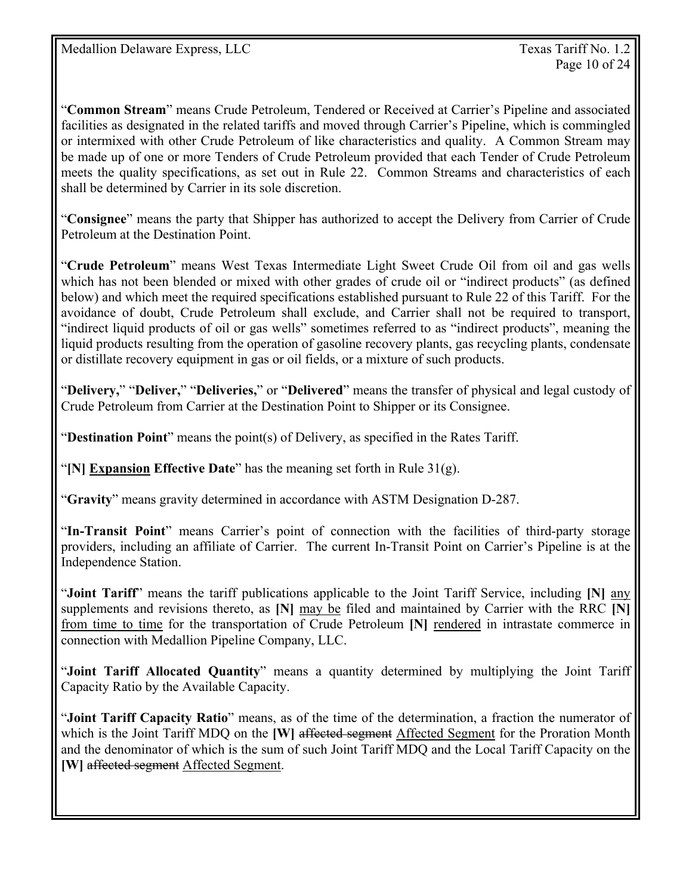"**Common Stream**" means Crude Petroleum, Tendered or Received at Carrier's Pipeline and associated facilities as designated in the related tariffs and moved through Carrier's Pipeline, which is commingled or intermixed with other Crude Petroleum of like characteristics and quality. A Common Stream may be made up of one or more Tenders of Crude Petroleum provided that each Tender of Crude Petroleum meets the quality specifications, as set out in Rule 22. Common Streams and characteristics of each shall be determined by Carrier in its sole discretion.

"**Consignee**" means the party that Shipper has authorized to accept the Delivery from Carrier of Crude Petroleum at the Destination Point.

"**Crude Petroleum**" means West Texas Intermediate Light Sweet Crude Oil from oil and gas wells which has not been blended or mixed with other grades of crude oil or "indirect products" (as defined below) and which meet the required specifications established pursuant to Rule 22 of this Tariff. For the avoidance of doubt, Crude Petroleum shall exclude, and Carrier shall not be required to transport, "indirect liquid products of oil or gas wells" sometimes referred to as "indirect products", meaning the liquid products resulting from the operation of gasoline recovery plants, gas recycling plants, condensate or distillate recovery equipment in gas or oil fields, or a mixture of such products.

"**Delivery,**" "**Deliver,**" "**Deliveries,**" or "**Delivered**" means the transfer of physical and legal custody of Crude Petroleum from Carrier at the Destination Point to Shipper or its Consignee.

"**Destination Point**" means the point(s) of Delivery, as specified in the Rates Tariff.

"**[N] Expansion Effective Date**" has the meaning set forth in Rule 31(g).

"**Gravity**" means gravity determined in accordance with ASTM Designation D-287.

"**In-Transit Point**" means Carrier's point of connection with the facilities of third-party storage providers, including an affiliate of Carrier. The current In-Transit Point on Carrier's Pipeline is at the Independence Station.

"**Joint Tariff**" means the tariff publications applicable to the Joint Tariff Service, including **[N]** any supplements and revisions thereto, as **[N]** may be filed and maintained by Carrier with the RRC **[N]**  from time to time for the transportation of Crude Petroleum **[N]** rendered in intrastate commerce in connection with Medallion Pipeline Company, LLC.

"**Joint Tariff Allocated Quantity**" means a quantity determined by multiplying the Joint Tariff Capacity Ratio by the Available Capacity.

"**Joint Tariff Capacity Ratio**" means, as of the time of the determination, a fraction the numerator of which is the Joint Tariff MDQ on the **[W]** affected segment Affected Segment for the Proration Month and the denominator of which is the sum of such Joint Tariff MDQ and the Local Tariff Capacity on the **[W]** affected segment Affected Segment.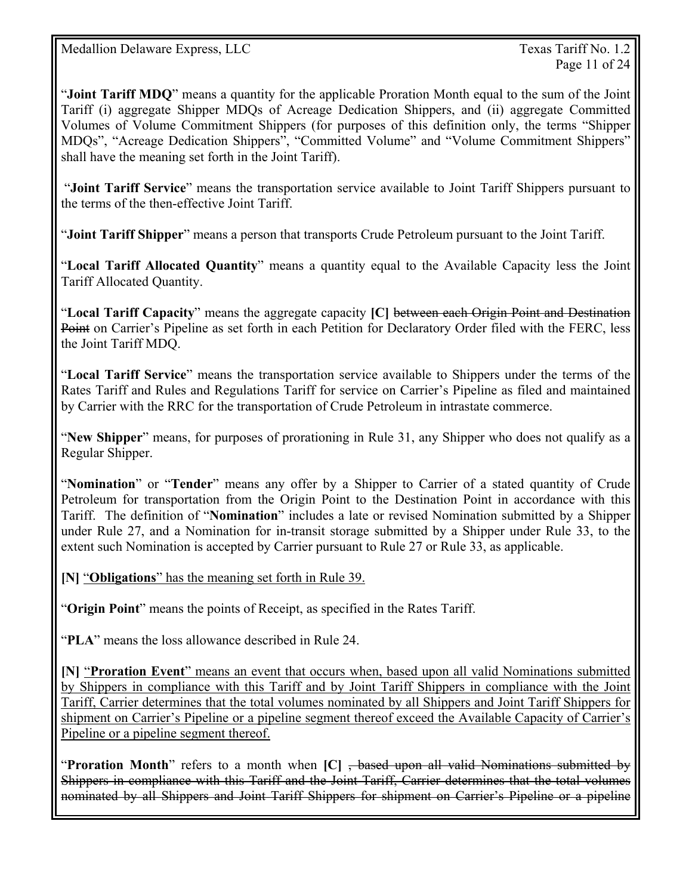Page 11 of 24

"**Joint Tariff MDQ**" means a quantity for the applicable Proration Month equal to the sum of the Joint Tariff (i) aggregate Shipper MDQs of Acreage Dedication Shippers, and (ii) aggregate Committed Volumes of Volume Commitment Shippers (for purposes of this definition only, the terms "Shipper MDQs", "Acreage Dedication Shippers", "Committed Volume" and "Volume Commitment Shippers" shall have the meaning set forth in the Joint Tariff).

 "**Joint Tariff Service**" means the transportation service available to Joint Tariff Shippers pursuant to the terms of the then-effective Joint Tariff.

"**Joint Tariff Shipper**" means a person that transports Crude Petroleum pursuant to the Joint Tariff.

"**Local Tariff Allocated Quantity**" means a quantity equal to the Available Capacity less the Joint Tariff Allocated Quantity.

"**Local Tariff Capacity**" means the aggregate capacity **[C]** between each Origin Point and Destination Point on Carrier's Pipeline as set forth in each Petition for Declaratory Order filed with the FERC, less the Joint Tariff MDQ.

"**Local Tariff Service**" means the transportation service available to Shippers under the terms of the Rates Tariff and Rules and Regulations Tariff for service on Carrier's Pipeline as filed and maintained by Carrier with the RRC for the transportation of Crude Petroleum in intrastate commerce.

"**New Shipper**" means, for purposes of prorationing in Rule 31, any Shipper who does not qualify as a Regular Shipper.

"**Nomination**" or "**Tender**" means any offer by a Shipper to Carrier of a stated quantity of Crude Petroleum for transportation from the Origin Point to the Destination Point in accordance with this Tariff. The definition of "**Nomination**" includes a late or revised Nomination submitted by a Shipper under Rule 27, and a Nomination for in-transit storage submitted by a Shipper under Rule 33, to the extent such Nomination is accepted by Carrier pursuant to Rule 27 or Rule 33, as applicable.

**[N]** "**Obligations**" has the meaning set forth in Rule 39.

"**Origin Point**" means the points of Receipt, as specified in the Rates Tariff.

"**PLA**" means the loss allowance described in Rule 24.

**[N]** "**Proration Event**" means an event that occurs when, based upon all valid Nominations submitted by Shippers in compliance with this Tariff and by Joint Tariff Shippers in compliance with the Joint Tariff, Carrier determines that the total volumes nominated by all Shippers and Joint Tariff Shippers for shipment on Carrier's Pipeline or a pipeline segment thereof exceed the Available Capacity of Carrier's Pipeline or a pipeline segment thereof.

"**Proration Month**" refers to a month when **[C]** , based upon all valid Nominations submitted by Shippers in compliance with this Tariff and the Joint Tariff, Carrier determines that the total volumes nominated by all Shippers and Joint Tariff Shippers for shipment on Carrier's Pipeline or a pipeline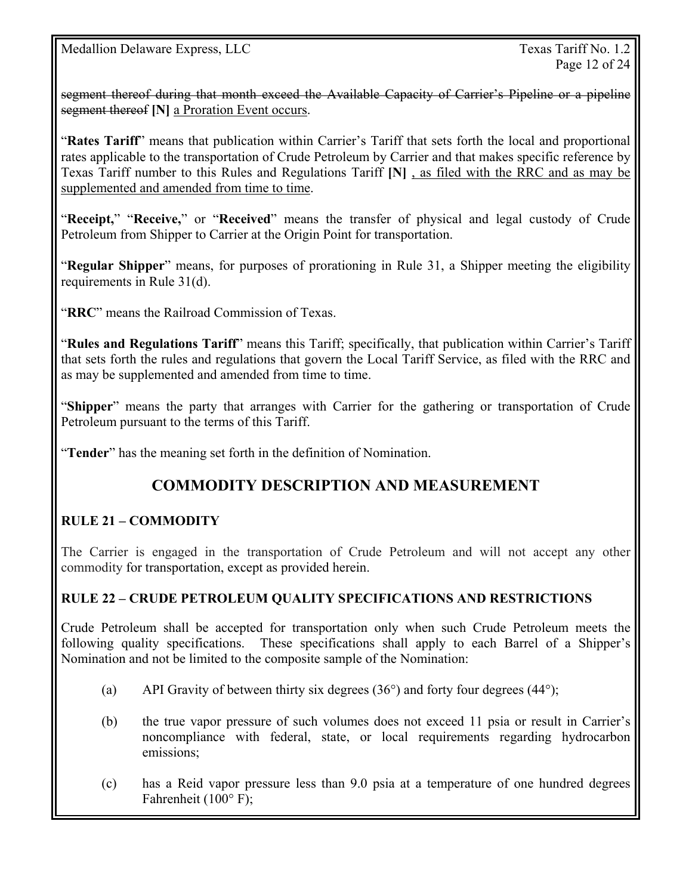segment thereof during that month exceed the Available Capacity of Carrier's Pipeline or a pipeline segment thereof [N] a Proration Event occurs.

"**Rates Tariff**" means that publication within Carrier's Tariff that sets forth the local and proportional rates applicable to the transportation of Crude Petroleum by Carrier and that makes specific reference by Texas Tariff number to this Rules and Regulations Tariff **[N]** , as filed with the RRC and as may be supplemented and amended from time to time.

"**Receipt,**" "**Receive,**" or "**Received**" means the transfer of physical and legal custody of Crude Petroleum from Shipper to Carrier at the Origin Point for transportation.

"**Regular Shipper**" means, for purposes of prorationing in Rule 31, a Shipper meeting the eligibility requirements in Rule 31(d).

"**RRC**" means the Railroad Commission of Texas.

"**Rules and Regulations Tariff**" means this Tariff; specifically, that publication within Carrier's Tariff that sets forth the rules and regulations that govern the Local Tariff Service, as filed with the RRC and as may be supplemented and amended from time to time.

"**Shipper**" means the party that arranges with Carrier for the gathering or transportation of Crude Petroleum pursuant to the terms of this Tariff.

"**Tender**" has the meaning set forth in the definition of Nomination.

# **COMMODITY DESCRIPTION AND MEASUREMENT**

### **RULE 21 – COMMODITY**

The Carrier is engaged in the transportation of Crude Petroleum and will not accept any other commodity for transportation, except as provided herein.

### **RULE 22 – CRUDE PETROLEUM QUALITY SPECIFICATIONS AND RESTRICTIONS**

Crude Petroleum shall be accepted for transportation only when such Crude Petroleum meets the following quality specifications. These specifications shall apply to each Barrel of a Shipper's Nomination and not be limited to the composite sample of the Nomination:

- (a) API Gravity of between thirty six degrees  $(36^{\circ})$  and forty four degrees  $(44^{\circ})$ ;
- (b) the true vapor pressure of such volumes does not exceed 11 psia or result in Carrier's noncompliance with federal, state, or local requirements regarding hydrocarbon emissions;
- (c) has a Reid vapor pressure less than 9.0 psia at a temperature of one hundred degrees Fahrenheit (100° F);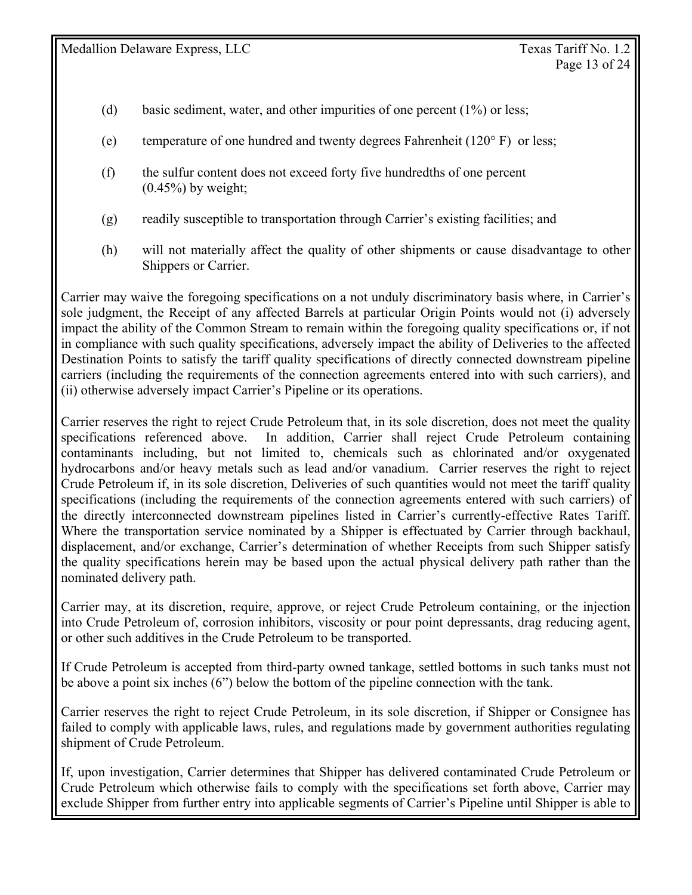- (d) basic sediment, water, and other impurities of one percent (1%) or less;
- (e) temperature of one hundred and twenty degrees Fahrenheit (120° F) or less;
- (f) the sulfur content does not exceed forty five hundredths of one percent  $(0.45\%)$  by weight:
- (g) readily susceptible to transportation through Carrier's existing facilities; and
- (h) will not materially affect the quality of other shipments or cause disadvantage to other Shippers or Carrier.

Carrier may waive the foregoing specifications on a not unduly discriminatory basis where, in Carrier's sole judgment, the Receipt of any affected Barrels at particular Origin Points would not (i) adversely impact the ability of the Common Stream to remain within the foregoing quality specifications or, if not in compliance with such quality specifications, adversely impact the ability of Deliveries to the affected Destination Points to satisfy the tariff quality specifications of directly connected downstream pipeline carriers (including the requirements of the connection agreements entered into with such carriers), and (ii) otherwise adversely impact Carrier's Pipeline or its operations.

Carrier reserves the right to reject Crude Petroleum that, in its sole discretion, does not meet the quality specifications referenced above. In addition, Carrier shall reject Crude Petroleum containing contaminants including, but not limited to, chemicals such as chlorinated and/or oxygenated hydrocarbons and/or heavy metals such as lead and/or vanadium. Carrier reserves the right to reject Crude Petroleum if, in its sole discretion, Deliveries of such quantities would not meet the tariff quality specifications (including the requirements of the connection agreements entered with such carriers) of the directly interconnected downstream pipelines listed in Carrier's currently-effective Rates Tariff. Where the transportation service nominated by a Shipper is effectuated by Carrier through backhaul, displacement, and/or exchange, Carrier's determination of whether Receipts from such Shipper satisfy the quality specifications herein may be based upon the actual physical delivery path rather than the nominated delivery path.

Carrier may, at its discretion, require, approve, or reject Crude Petroleum containing, or the injection into Crude Petroleum of, corrosion inhibitors, viscosity or pour point depressants, drag reducing agent, or other such additives in the Crude Petroleum to be transported.

If Crude Petroleum is accepted from third-party owned tankage, settled bottoms in such tanks must not be above a point six inches (6") below the bottom of the pipeline connection with the tank.

Carrier reserves the right to reject Crude Petroleum, in its sole discretion, if Shipper or Consignee has failed to comply with applicable laws, rules, and regulations made by government authorities regulating shipment of Crude Petroleum.

If, upon investigation, Carrier determines that Shipper has delivered contaminated Crude Petroleum or Crude Petroleum which otherwise fails to comply with the specifications set forth above, Carrier may exclude Shipper from further entry into applicable segments of Carrier's Pipeline until Shipper is able to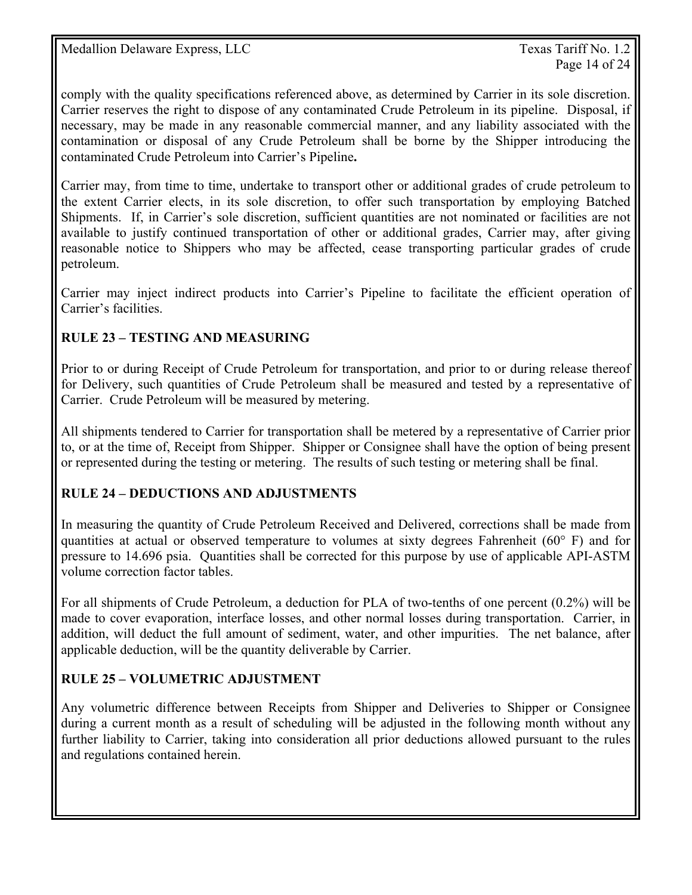comply with the quality specifications referenced above, as determined by Carrier in its sole discretion. Carrier reserves the right to dispose of any contaminated Crude Petroleum in its pipeline. Disposal, if necessary, may be made in any reasonable commercial manner, and any liability associated with the contamination or disposal of any Crude Petroleum shall be borne by the Shipper introducing the contaminated Crude Petroleum into Carrier's Pipeline**.**

Carrier may, from time to time, undertake to transport other or additional grades of crude petroleum to the extent Carrier elects, in its sole discretion, to offer such transportation by employing Batched Shipments. If, in Carrier's sole discretion, sufficient quantities are not nominated or facilities are not available to justify continued transportation of other or additional grades, Carrier may, after giving reasonable notice to Shippers who may be affected, cease transporting particular grades of crude petroleum.

Carrier may inject indirect products into Carrier's Pipeline to facilitate the efficient operation of Carrier's facilities.

### **RULE 23 – TESTING AND MEASURING**

Prior to or during Receipt of Crude Petroleum for transportation, and prior to or during release thereof for Delivery, such quantities of Crude Petroleum shall be measured and tested by a representative of Carrier. Crude Petroleum will be measured by metering.

All shipments tendered to Carrier for transportation shall be metered by a representative of Carrier prior to, or at the time of, Receipt from Shipper. Shipper or Consignee shall have the option of being present or represented during the testing or metering. The results of such testing or metering shall be final.

### **RULE 24 – DEDUCTIONS AND ADJUSTMENTS**

In measuring the quantity of Crude Petroleum Received and Delivered, corrections shall be made from quantities at actual or observed temperature to volumes at sixty degrees Fahrenheit (60° F) and for pressure to 14.696 psia. Quantities shall be corrected for this purpose by use of applicable API-ASTM volume correction factor tables.

For all shipments of Crude Petroleum, a deduction for PLA of two-tenths of one percent (0.2%) will be made to cover evaporation, interface losses, and other normal losses during transportation. Carrier, in addition, will deduct the full amount of sediment, water, and other impurities. The net balance, after applicable deduction, will be the quantity deliverable by Carrier.

### **RULE 25 – VOLUMETRIC ADJUSTMENT**

Any volumetric difference between Receipts from Shipper and Deliveries to Shipper or Consignee during a current month as a result of scheduling will be adjusted in the following month without any further liability to Carrier, taking into consideration all prior deductions allowed pursuant to the rules and regulations contained herein.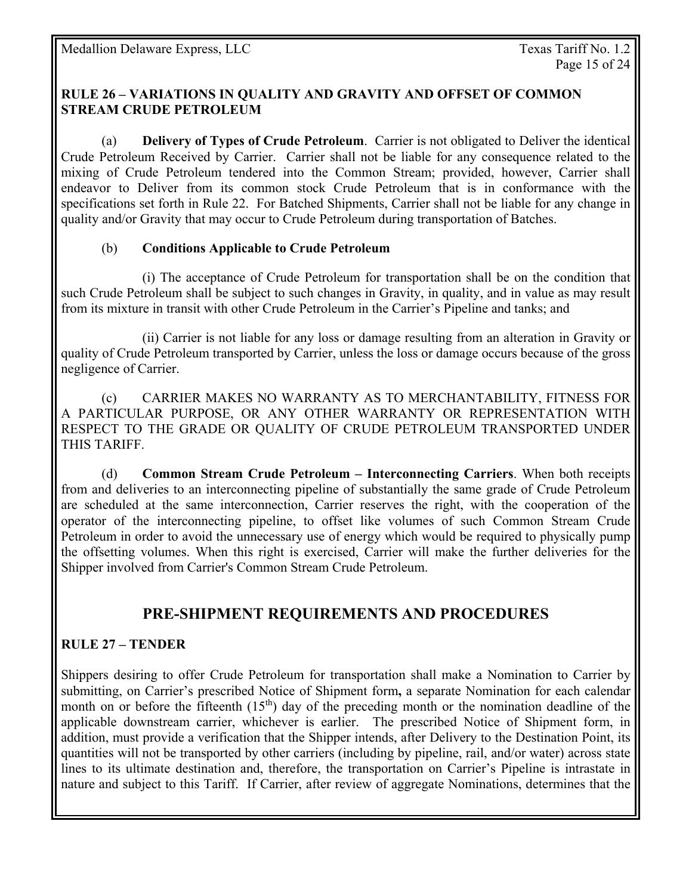#### **RULE 26 – VARIATIONS IN QUALITY AND GRAVITY AND OFFSET OF COMMON STREAM CRUDE PETROLEUM**

(a) **Delivery of Types of Crude Petroleum**. Carrier is not obligated to Deliver the identical Crude Petroleum Received by Carrier. Carrier shall not be liable for any consequence related to the mixing of Crude Petroleum tendered into the Common Stream; provided, however, Carrier shall endeavor to Deliver from its common stock Crude Petroleum that is in conformance with the specifications set forth in Rule 22. For Batched Shipments, Carrier shall not be liable for any change in quality and/or Gravity that may occur to Crude Petroleum during transportation of Batches.

### (b) **Conditions Applicable to Crude Petroleum**

 (i) The acceptance of Crude Petroleum for transportation shall be on the condition that such Crude Petroleum shall be subject to such changes in Gravity, in quality, and in value as may result from its mixture in transit with other Crude Petroleum in the Carrier's Pipeline and tanks; and

 (ii) Carrier is not liable for any loss or damage resulting from an alteration in Gravity or quality of Crude Petroleum transported by Carrier, unless the loss or damage occurs because of the gross negligence of Carrier.

 (c) CARRIER MAKES NO WARRANTY AS TO MERCHANTABILITY, FITNESS FOR A PARTICULAR PURPOSE, OR ANY OTHER WARRANTY OR REPRESENTATION WITH RESPECT TO THE GRADE OR QUALITY OF CRUDE PETROLEUM TRANSPORTED UNDER THIS TARIFF.

 (d) **Common Stream Crude Petroleum – Interconnecting Carriers**. When both receipts from and deliveries to an interconnecting pipeline of substantially the same grade of Crude Petroleum are scheduled at the same interconnection, Carrier reserves the right, with the cooperation of the operator of the interconnecting pipeline, to offset like volumes of such Common Stream Crude Petroleum in order to avoid the unnecessary use of energy which would be required to physically pump the offsetting volumes. When this right is exercised, Carrier will make the further deliveries for the Shipper involved from Carrier's Common Stream Crude Petroleum.

# **PRE-SHIPMENT REQUIREMENTS AND PROCEDURES**

### **RULE 27 – TENDER**

Shippers desiring to offer Crude Petroleum for transportation shall make a Nomination to Carrier by submitting, on Carrier's prescribed Notice of Shipment form**,** a separate Nomination for each calendar month on or before the fifteenth  $(15<sup>th</sup>)$  day of the preceding month or the nomination deadline of the applicable downstream carrier, whichever is earlier. The prescribed Notice of Shipment form, in addition, must provide a verification that the Shipper intends, after Delivery to the Destination Point, its quantities will not be transported by other carriers (including by pipeline, rail, and/or water) across state lines to its ultimate destination and, therefore, the transportation on Carrier's Pipeline is intrastate in nature and subject to this Tariff. If Carrier, after review of aggregate Nominations, determines that the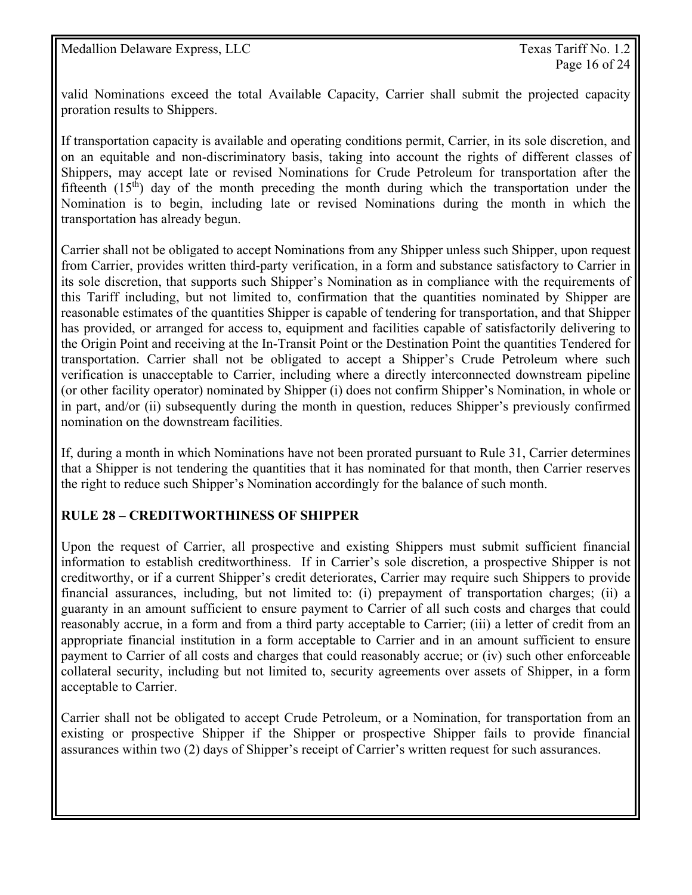valid Nominations exceed the total Available Capacity, Carrier shall submit the projected capacity proration results to Shippers.

If transportation capacity is available and operating conditions permit, Carrier, in its sole discretion, and on an equitable and non-discriminatory basis, taking into account the rights of different classes of Shippers, may accept late or revised Nominations for Crude Petroleum for transportation after the fifteenth  $(15<sup>th</sup>)$  day of the month preceding the month during which the transportation under the Nomination is to begin, including late or revised Nominations during the month in which the transportation has already begun.

Carrier shall not be obligated to accept Nominations from any Shipper unless such Shipper, upon request from Carrier, provides written third-party verification, in a form and substance satisfactory to Carrier in its sole discretion, that supports such Shipper's Nomination as in compliance with the requirements of this Tariff including, but not limited to, confirmation that the quantities nominated by Shipper are reasonable estimates of the quantities Shipper is capable of tendering for transportation, and that Shipper has provided, or arranged for access to, equipment and facilities capable of satisfactorily delivering to the Origin Point and receiving at the In-Transit Point or the Destination Point the quantities Tendered for transportation. Carrier shall not be obligated to accept a Shipper's Crude Petroleum where such verification is unacceptable to Carrier, including where a directly interconnected downstream pipeline (or other facility operator) nominated by Shipper (i) does not confirm Shipper's Nomination, in whole or in part, and/or (ii) subsequently during the month in question, reduces Shipper's previously confirmed nomination on the downstream facilities.

If, during a month in which Nominations have not been prorated pursuant to Rule 31, Carrier determines that a Shipper is not tendering the quantities that it has nominated for that month, then Carrier reserves the right to reduce such Shipper's Nomination accordingly for the balance of such month.

### **RULE 28 – CREDITWORTHINESS OF SHIPPER**

Upon the request of Carrier, all prospective and existing Shippers must submit sufficient financial information to establish creditworthiness. If in Carrier's sole discretion, a prospective Shipper is not creditworthy, or if a current Shipper's credit deteriorates, Carrier may require such Shippers to provide financial assurances, including, but not limited to: (i) prepayment of transportation charges; (ii) a guaranty in an amount sufficient to ensure payment to Carrier of all such costs and charges that could reasonably accrue, in a form and from a third party acceptable to Carrier; (iii) a letter of credit from an appropriate financial institution in a form acceptable to Carrier and in an amount sufficient to ensure payment to Carrier of all costs and charges that could reasonably accrue; or (iv) such other enforceable collateral security, including but not limited to, security agreements over assets of Shipper, in a form acceptable to Carrier.

Carrier shall not be obligated to accept Crude Petroleum, or a Nomination, for transportation from an existing or prospective Shipper if the Shipper or prospective Shipper fails to provide financial assurances within two (2) days of Shipper's receipt of Carrier's written request for such assurances.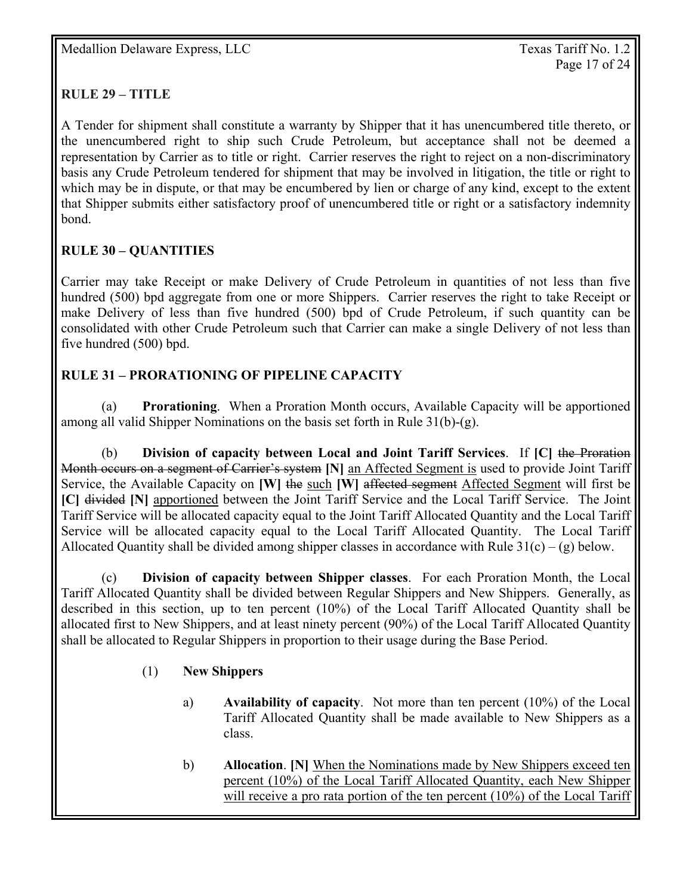### **RULE 29 – TITLE**

A Tender for shipment shall constitute a warranty by Shipper that it has unencumbered title thereto, or the unencumbered right to ship such Crude Petroleum, but acceptance shall not be deemed a representation by Carrier as to title or right. Carrier reserves the right to reject on a non-discriminatory basis any Crude Petroleum tendered for shipment that may be involved in litigation, the title or right to which may be in dispute, or that may be encumbered by lien or charge of any kind, except to the extent that Shipper submits either satisfactory proof of unencumbered title or right or a satisfactory indemnity bond.

### **RULE 30 – QUANTITIES**

Carrier may take Receipt or make Delivery of Crude Petroleum in quantities of not less than five hundred (500) bpd aggregate from one or more Shippers. Carrier reserves the right to take Receipt or make Delivery of less than five hundred (500) bpd of Crude Petroleum, if such quantity can be consolidated with other Crude Petroleum such that Carrier can make a single Delivery of not less than five hundred (500) bpd.

### **RULE 31 – PRORATIONING OF PIPELINE CAPACITY**

 (a) **Prorationing**. When a Proration Month occurs, Available Capacity will be apportioned among all valid Shipper Nominations on the basis set forth in Rule 31(b)-(g).

(b) **Division of capacity between Local and Joint Tariff Services**. If **[C]** the Proration Month occurs on a segment of Carrier's system **[N]** an Affected Segment is used to provide Joint Tariff Service, the Available Capacity on **[W]** the such **[W]** affected segment Affected Segment will first be **[C]** divided **[N]** apportioned between the Joint Tariff Service and the Local Tariff Service. The Joint Tariff Service will be allocated capacity equal to the Joint Tariff Allocated Quantity and the Local Tariff Service will be allocated capacity equal to the Local Tariff Allocated Quantity. The Local Tariff Allocated Quantity shall be divided among shipper classes in accordance with Rule  $31(c) - (g)$  below.

 (c) **Division of capacity between Shipper classes**. For each Proration Month, the Local Tariff Allocated Quantity shall be divided between Regular Shippers and New Shippers. Generally, as described in this section, up to ten percent (10%) of the Local Tariff Allocated Quantity shall be allocated first to New Shippers, and at least ninety percent (90%) of the Local Tariff Allocated Quantity shall be allocated to Regular Shippers in proportion to their usage during the Base Period.

### (1) **New Shippers**

- a) **Availability of capacity**. Not more than ten percent (10%) of the Local Tariff Allocated Quantity shall be made available to New Shippers as a class.
- b) **Allocation**. **[N]** When the Nominations made by New Shippers exceed ten percent (10%) of the Local Tariff Allocated Quantity, each New Shipper will receive a pro rata portion of the ten percent (10%) of the Local Tariff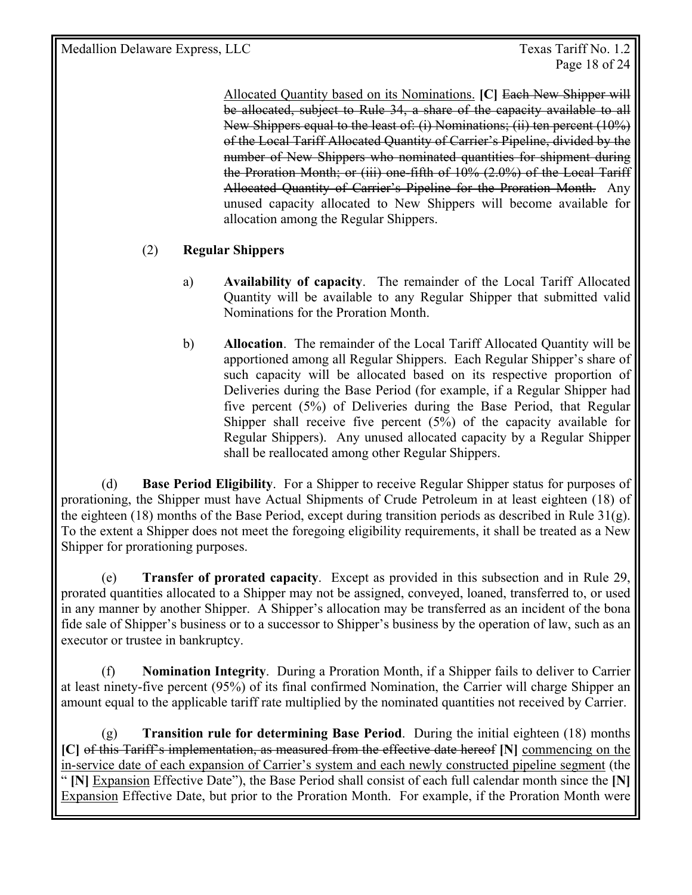Page 18 of 24

Allocated Quantity based on its Nominations. **[C]** Each New Shipper will be allocated, subject to Rule 34, a share of the capacity available to all New Shippers equal to the least of: (i) Nominations; (ii) ten percent (10%) of the Local Tariff Allocated Quantity of Carrier's Pipeline, divided by the number of New Shippers who nominated quantities for shipment during the Proration Month; or (iii) one-fifth of 10% (2.0%) of the Local Tariff Allocated Quantity of Carrier's Pipeline for the Proration Month. Any unused capacity allocated to New Shippers will become available for allocation among the Regular Shippers.

### (2) **Regular Shippers**

- a) **Availability of capacity**. The remainder of the Local Tariff Allocated Quantity will be available to any Regular Shipper that submitted valid Nominations for the Proration Month.
- b) **Allocation**. The remainder of the Local Tariff Allocated Quantity will be apportioned among all Regular Shippers. Each Regular Shipper's share of such capacity will be allocated based on its respective proportion of Deliveries during the Base Period (for example, if a Regular Shipper had five percent (5%) of Deliveries during the Base Period, that Regular Shipper shall receive five percent (5%) of the capacity available for Regular Shippers). Any unused allocated capacity by a Regular Shipper shall be reallocated among other Regular Shippers.

 (d) **Base Period Eligibility**. For a Shipper to receive Regular Shipper status for purposes of prorationing, the Shipper must have Actual Shipments of Crude Petroleum in at least eighteen (18) of the eighteen (18) months of the Base Period, except during transition periods as described in Rule 31(g). To the extent a Shipper does not meet the foregoing eligibility requirements, it shall be treated as a New Shipper for prorationing purposes.

 (e) **Transfer of prorated capacity**. Except as provided in this subsection and in Rule 29, prorated quantities allocated to a Shipper may not be assigned, conveyed, loaned, transferred to, or used in any manner by another Shipper. A Shipper's allocation may be transferred as an incident of the bona fide sale of Shipper's business or to a successor to Shipper's business by the operation of law, such as an executor or trustee in bankruptcy.

 (f) **Nomination Integrity**. During a Proration Month, if a Shipper fails to deliver to Carrier at least ninety-five percent (95%) of its final confirmed Nomination, the Carrier will charge Shipper an amount equal to the applicable tariff rate multiplied by the nominated quantities not received by Carrier.

(g) **Transition rule for determining Base Period**. During the initial eighteen (18) months **[C]** of this Tariff's implementation, as measured from the effective date hereof **[N]** commencing on the in-service date of each expansion of Carrier's system and each newly constructed pipeline segment (the " **[N]** Expansion Effective Date"), the Base Period shall consist of each full calendar month since the **[N]**  Expansion Effective Date, but prior to the Proration Month. For example, if the Proration Month were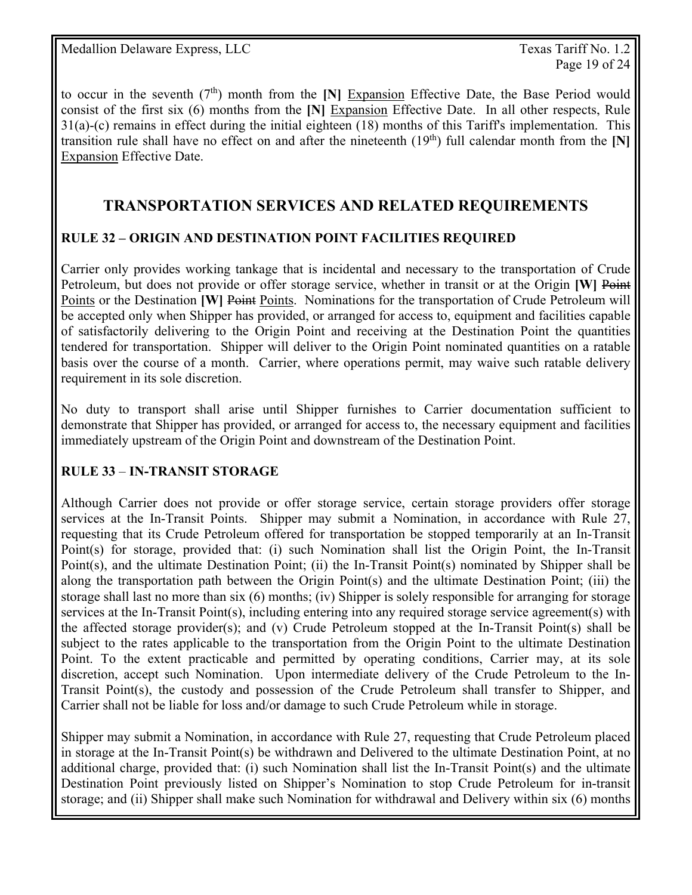to occur in the seventh (7th) month from the **[N]** Expansion Effective Date, the Base Period would consist of the first six (6) months from the **[N]** Expansion Effective Date. In all other respects, Rule 31(a)-(c) remains in effect during the initial eighteen (18) months of this Tariff's implementation. This transition rule shall have no effect on and after the nineteenth  $(19<sup>th</sup>)$  full calendar month from the [N] Expansion Effective Date.

### **TRANSPORTATION SERVICES AND RELATED REQUIREMENTS**

### **RULE 32 – ORIGIN AND DESTINATION POINT FACILITIES REQUIRED**

Carrier only provides working tankage that is incidental and necessary to the transportation of Crude Petroleum, but does not provide or offer storage service, whether in transit or at the Origin **[W]** Point Points or the Destination **[W]** Points. Nominations for the transportation of Crude Petroleum will be accepted only when Shipper has provided, or arranged for access to, equipment and facilities capable of satisfactorily delivering to the Origin Point and receiving at the Destination Point the quantities tendered for transportation. Shipper will deliver to the Origin Point nominated quantities on a ratable basis over the course of a month. Carrier, where operations permit, may waive such ratable delivery requirement in its sole discretion.

No duty to transport shall arise until Shipper furnishes to Carrier documentation sufficient to demonstrate that Shipper has provided, or arranged for access to, the necessary equipment and facilities immediately upstream of the Origin Point and downstream of the Destination Point.

### **RULE 33** – **IN-TRANSIT STORAGE**

Although Carrier does not provide or offer storage service, certain storage providers offer storage services at the In-Transit Points. Shipper may submit a Nomination, in accordance with Rule 27, requesting that its Crude Petroleum offered for transportation be stopped temporarily at an In-Transit Point(s) for storage, provided that: (i) such Nomination shall list the Origin Point, the In-Transit Point(s), and the ultimate Destination Point; (ii) the In-Transit Point(s) nominated by Shipper shall be along the transportation path between the Origin Point(s) and the ultimate Destination Point; (iii) the storage shall last no more than six (6) months; (iv) Shipper is solely responsible for arranging for storage services at the In-Transit Point(s), including entering into any required storage service agreement(s) with the affected storage provider(s); and (v) Crude Petroleum stopped at the In-Transit Point(s) shall be subject to the rates applicable to the transportation from the Origin Point to the ultimate Destination Point. To the extent practicable and permitted by operating conditions, Carrier may, at its sole discretion, accept such Nomination. Upon intermediate delivery of the Crude Petroleum to the In-Transit Point(s), the custody and possession of the Crude Petroleum shall transfer to Shipper, and Carrier shall not be liable for loss and/or damage to such Crude Petroleum while in storage.

Shipper may submit a Nomination, in accordance with Rule 27, requesting that Crude Petroleum placed in storage at the In-Transit Point(s) be withdrawn and Delivered to the ultimate Destination Point, at no additional charge, provided that: (i) such Nomination shall list the In-Transit Point(s) and the ultimate Destination Point previously listed on Shipper's Nomination to stop Crude Petroleum for in-transit storage; and (ii) Shipper shall make such Nomination for withdrawal and Delivery within six (6) months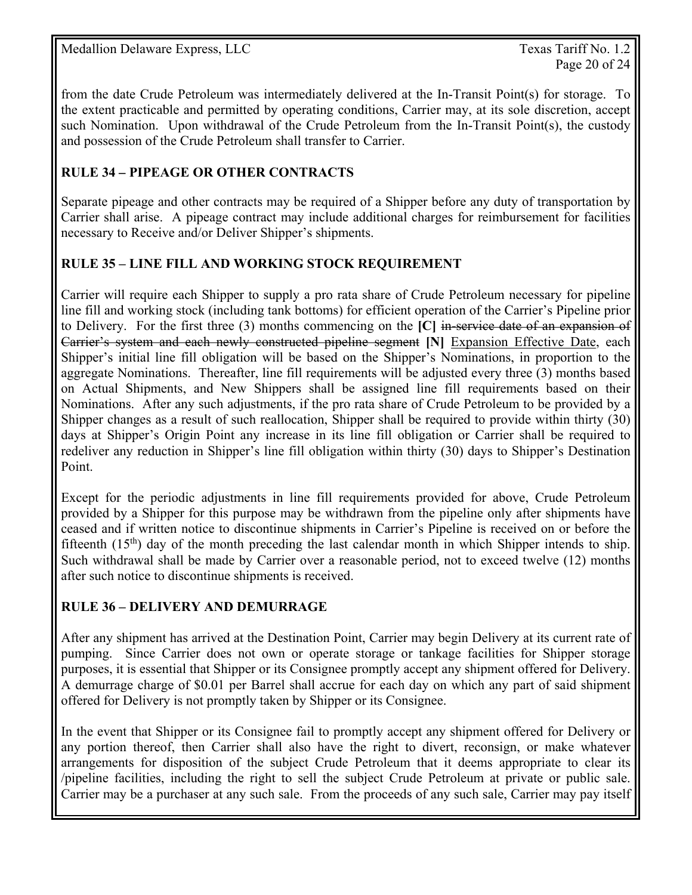from the date Crude Petroleum was intermediately delivered at the In-Transit Point(s) for storage. To the extent practicable and permitted by operating conditions, Carrier may, at its sole discretion, accept such Nomination. Upon withdrawal of the Crude Petroleum from the In-Transit Point(s), the custody and possession of the Crude Petroleum shall transfer to Carrier.

### **RULE 34** *–* **PIPEAGE OR OTHER CONTRACTS**

Separate pipeage and other contracts may be required of a Shipper before any duty of transportation by Carrier shall arise. A pipeage contract may include additional charges for reimbursement for facilities necessary to Receive and/or Deliver Shipper's shipments.

#### **RULE 35 – LINE FILL AND WORKING STOCK REQUIREMENT**

Carrier will require each Shipper to supply a pro rata share of Crude Petroleum necessary for pipeline line fill and working stock (including tank bottoms) for efficient operation of the Carrier's Pipeline prior to Delivery. For the first three (3) months commencing on the **[C]** in-service date of an expansion of Carrier's system and each newly constructed pipeline segment **[N]** Expansion Effective Date, each Shipper's initial line fill obligation will be based on the Shipper's Nominations, in proportion to the aggregate Nominations. Thereafter, line fill requirements will be adjusted every three (3) months based on Actual Shipments, and New Shippers shall be assigned line fill requirements based on their Nominations. After any such adjustments, if the pro rata share of Crude Petroleum to be provided by a Shipper changes as a result of such reallocation, Shipper shall be required to provide within thirty (30) days at Shipper's Origin Point any increase in its line fill obligation or Carrier shall be required to redeliver any reduction in Shipper's line fill obligation within thirty (30) days to Shipper's Destination Point.

Except for the periodic adjustments in line fill requirements provided for above, Crude Petroleum provided by a Shipper for this purpose may be withdrawn from the pipeline only after shipments have ceased and if written notice to discontinue shipments in Carrier's Pipeline is received on or before the fifteenth  $(15<sup>th</sup>)$  day of the month preceding the last calendar month in which Shipper intends to ship. Such withdrawal shall be made by Carrier over a reasonable period, not to exceed twelve (12) months after such notice to discontinue shipments is received.

### **RULE 36 – DELIVERY AND DEMURRAGE**

After any shipment has arrived at the Destination Point, Carrier may begin Delivery at its current rate of pumping. Since Carrier does not own or operate storage or tankage facilities for Shipper storage purposes, it is essential that Shipper or its Consignee promptly accept any shipment offered for Delivery. A demurrage charge of \$0.01 per Barrel shall accrue for each day on which any part of said shipment offered for Delivery is not promptly taken by Shipper or its Consignee.

In the event that Shipper or its Consignee fail to promptly accept any shipment offered for Delivery or any portion thereof, then Carrier shall also have the right to divert, reconsign, or make whatever arrangements for disposition of the subject Crude Petroleum that it deems appropriate to clear its /pipeline facilities, including the right to sell the subject Crude Petroleum at private or public sale. Carrier may be a purchaser at any such sale. From the proceeds of any such sale, Carrier may pay itself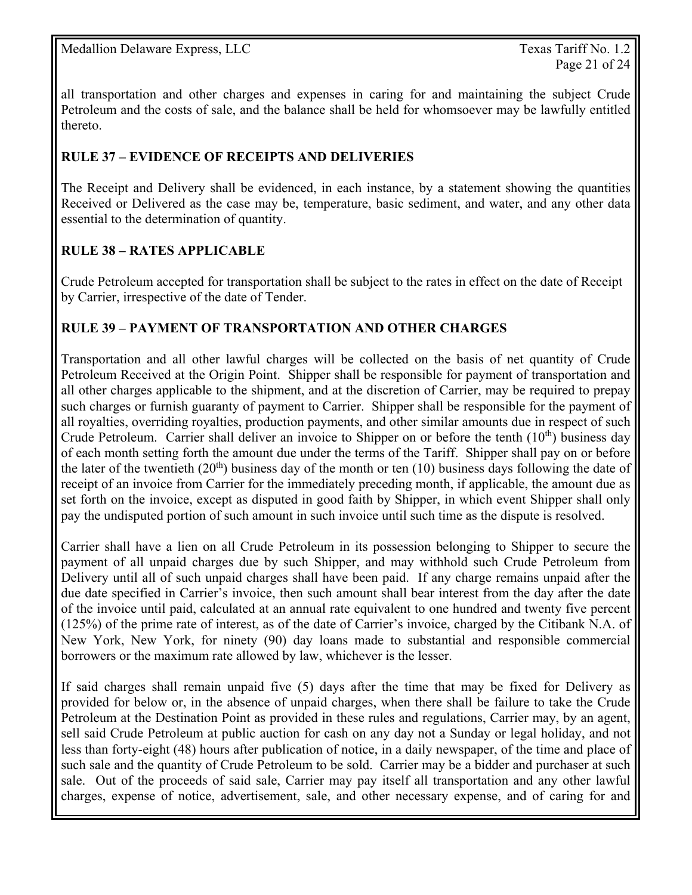all transportation and other charges and expenses in caring for and maintaining the subject Crude Petroleum and the costs of sale, and the balance shall be held for whomsoever may be lawfully entitled thereto.

### **RULE 37 – EVIDENCE OF RECEIPTS AND DELIVERIES**

The Receipt and Delivery shall be evidenced, in each instance, by a statement showing the quantities Received or Delivered as the case may be, temperature, basic sediment, and water, and any other data essential to the determination of quantity.

### **RULE 38 – RATES APPLICABLE**

Crude Petroleum accepted for transportation shall be subject to the rates in effect on the date of Receipt by Carrier, irrespective of the date of Tender.

### **RULE 39 – PAYMENT OF TRANSPORTATION AND OTHER CHARGES**

Transportation and all other lawful charges will be collected on the basis of net quantity of Crude Petroleum Received at the Origin Point. Shipper shall be responsible for payment of transportation and all other charges applicable to the shipment, and at the discretion of Carrier, may be required to prepay such charges or furnish guaranty of payment to Carrier. Shipper shall be responsible for the payment of all royalties, overriding royalties, production payments, and other similar amounts due in respect of such Crude Petroleum. Carrier shall deliver an invoice to Shipper on or before the tenth  $(10<sup>th</sup>)$  business day of each month setting forth the amount due under the terms of the Tariff. Shipper shall pay on or before the later of the twentieth  $(20<sup>th</sup>)$  business day of the month or ten (10) business days following the date of receipt of an invoice from Carrier for the immediately preceding month, if applicable, the amount due as set forth on the invoice, except as disputed in good faith by Shipper, in which event Shipper shall only pay the undisputed portion of such amount in such invoice until such time as the dispute is resolved.

Carrier shall have a lien on all Crude Petroleum in its possession belonging to Shipper to secure the payment of all unpaid charges due by such Shipper, and may withhold such Crude Petroleum from Delivery until all of such unpaid charges shall have been paid. If any charge remains unpaid after the due date specified in Carrier's invoice, then such amount shall bear interest from the day after the date of the invoice until paid, calculated at an annual rate equivalent to one hundred and twenty five percent (125%) of the prime rate of interest, as of the date of Carrier's invoice, charged by the Citibank N.A. of New York, New York, for ninety (90) day loans made to substantial and responsible commercial borrowers or the maximum rate allowed by law, whichever is the lesser.

If said charges shall remain unpaid five (5) days after the time that may be fixed for Delivery as provided for below or, in the absence of unpaid charges, when there shall be failure to take the Crude Petroleum at the Destination Point as provided in these rules and regulations, Carrier may, by an agent, sell said Crude Petroleum at public auction for cash on any day not a Sunday or legal holiday, and not less than forty-eight (48) hours after publication of notice, in a daily newspaper, of the time and place of such sale and the quantity of Crude Petroleum to be sold. Carrier may be a bidder and purchaser at such sale. Out of the proceeds of said sale, Carrier may pay itself all transportation and any other lawful charges, expense of notice, advertisement, sale, and other necessary expense, and of caring for and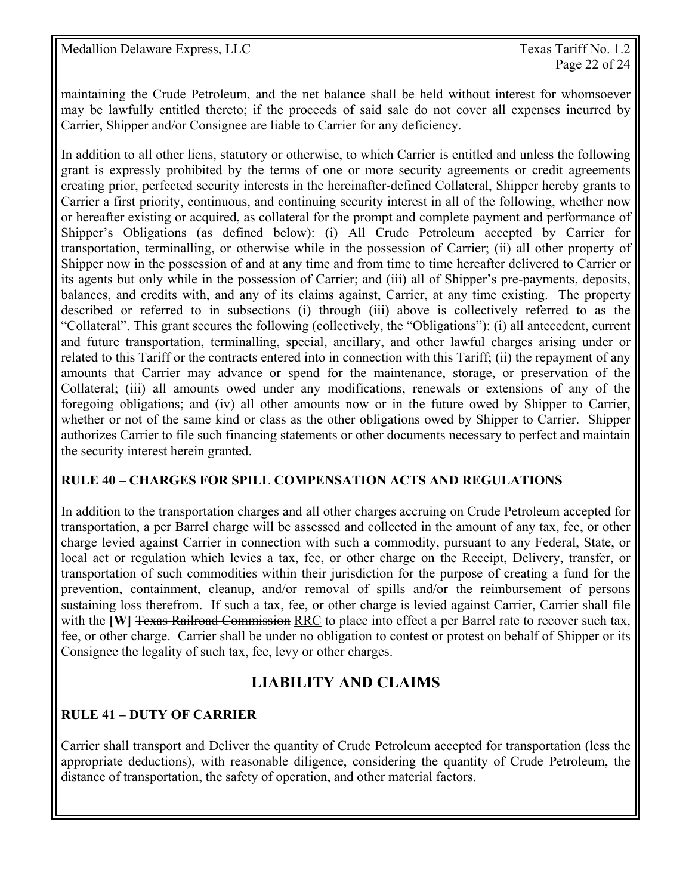maintaining the Crude Petroleum, and the net balance shall be held without interest for whomsoever may be lawfully entitled thereto; if the proceeds of said sale do not cover all expenses incurred by Carrier, Shipper and/or Consignee are liable to Carrier for any deficiency.

In addition to all other liens, statutory or otherwise, to which Carrier is entitled and unless the following grant is expressly prohibited by the terms of one or more security agreements or credit agreements creating prior, perfected security interests in the hereinafter-defined Collateral, Shipper hereby grants to Carrier a first priority, continuous, and continuing security interest in all of the following, whether now or hereafter existing or acquired, as collateral for the prompt and complete payment and performance of Shipper's Obligations (as defined below): (i) All Crude Petroleum accepted by Carrier for transportation, terminalling, or otherwise while in the possession of Carrier; (ii) all other property of Shipper now in the possession of and at any time and from time to time hereafter delivered to Carrier or its agents but only while in the possession of Carrier; and (iii) all of Shipper's pre-payments, deposits, balances, and credits with, and any of its claims against, Carrier, at any time existing. The property described or referred to in subsections (i) through (iii) above is collectively referred to as the "Collateral". This grant secures the following (collectively, the "Obligations"): (i) all antecedent, current and future transportation, terminalling, special, ancillary, and other lawful charges arising under or related to this Tariff or the contracts entered into in connection with this Tariff; (ii) the repayment of any amounts that Carrier may advance or spend for the maintenance, storage, or preservation of the Collateral; (iii) all amounts owed under any modifications, renewals or extensions of any of the foregoing obligations; and (iv) all other amounts now or in the future owed by Shipper to Carrier, whether or not of the same kind or class as the other obligations owed by Shipper to Carrier. Shipper authorizes Carrier to file such financing statements or other documents necessary to perfect and maintain the security interest herein granted.

#### **RULE 40 – CHARGES FOR SPILL COMPENSATION ACTS AND REGULATIONS**

In addition to the transportation charges and all other charges accruing on Crude Petroleum accepted for transportation, a per Barrel charge will be assessed and collected in the amount of any tax, fee, or other charge levied against Carrier in connection with such a commodity, pursuant to any Federal, State, or local act or regulation which levies a tax, fee, or other charge on the Receipt, Delivery, transfer, or transportation of such commodities within their jurisdiction for the purpose of creating a fund for the prevention, containment, cleanup, and/or removal of spills and/or the reimbursement of persons sustaining loss therefrom. If such a tax, fee, or other charge is levied against Carrier, Carrier shall file with the **[W]** Texas Railroad Commission RRC to place into effect a per Barrel rate to recover such tax, fee, or other charge. Carrier shall be under no obligation to contest or protest on behalf of Shipper or its Consignee the legality of such tax, fee, levy or other charges.

# **LIABILITY AND CLAIMS**

### **RULE 41 – DUTY OF CARRIER**

Carrier shall transport and Deliver the quantity of Crude Petroleum accepted for transportation (less the appropriate deductions), with reasonable diligence, considering the quantity of Crude Petroleum, the distance of transportation, the safety of operation, and other material factors.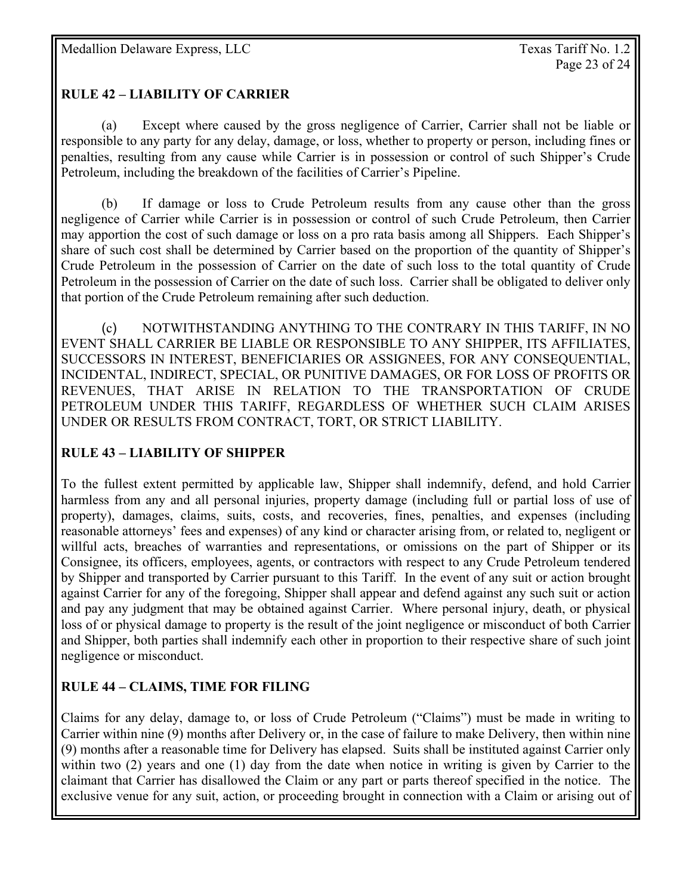### **RULE 42 – LIABILITY OF CARRIER**

 (a) Except where caused by the gross negligence of Carrier, Carrier shall not be liable or responsible to any party for any delay, damage, or loss, whether to property or person, including fines or penalties, resulting from any cause while Carrier is in possession or control of such Shipper's Crude Petroleum, including the breakdown of the facilities of Carrier's Pipeline.

 (b) If damage or loss to Crude Petroleum results from any cause other than the gross negligence of Carrier while Carrier is in possession or control of such Crude Petroleum, then Carrier may apportion the cost of such damage or loss on a pro rata basis among all Shippers. Each Shipper's share of such cost shall be determined by Carrier based on the proportion of the quantity of Shipper's Crude Petroleum in the possession of Carrier on the date of such loss to the total quantity of Crude Petroleum in the possession of Carrier on the date of such loss. Carrier shall be obligated to deliver only that portion of the Crude Petroleum remaining after such deduction.

 (c) NOTWITHSTANDING ANYTHING TO THE CONTRARY IN THIS TARIFF, IN NO EVENT SHALL CARRIER BE LIABLE OR RESPONSIBLE TO ANY SHIPPER, ITS AFFILIATES, SUCCESSORS IN INTEREST, BENEFICIARIES OR ASSIGNEES, FOR ANY CONSEQUENTIAL, INCIDENTAL, INDIRECT, SPECIAL, OR PUNITIVE DAMAGES, OR FOR LOSS OF PROFITS OR REVENUES, THAT ARISE IN RELATION TO THE TRANSPORTATION OF CRUDE PETROLEUM UNDER THIS TARIFF, REGARDLESS OF WHETHER SUCH CLAIM ARISES UNDER OR RESULTS FROM CONTRACT, TORT, OR STRICT LIABILITY.

### **RULE 43 – LIABILITY OF SHIPPER**

To the fullest extent permitted by applicable law, Shipper shall indemnify, defend, and hold Carrier harmless from any and all personal injuries, property damage (including full or partial loss of use of property), damages, claims, suits, costs, and recoveries, fines, penalties, and expenses (including reasonable attorneys' fees and expenses) of any kind or character arising from, or related to, negligent or willful acts, breaches of warranties and representations, or omissions on the part of Shipper or its Consignee, its officers, employees, agents, or contractors with respect to any Crude Petroleum tendered by Shipper and transported by Carrier pursuant to this Tariff. In the event of any suit or action brought against Carrier for any of the foregoing, Shipper shall appear and defend against any such suit or action and pay any judgment that may be obtained against Carrier. Where personal injury, death, or physical loss of or physical damage to property is the result of the joint negligence or misconduct of both Carrier and Shipper, both parties shall indemnify each other in proportion to their respective share of such joint negligence or misconduct.

### **RULE 44 – CLAIMS, TIME FOR FILING**

Claims for any delay, damage to, or loss of Crude Petroleum ("Claims") must be made in writing to Carrier within nine (9) months after Delivery or, in the case of failure to make Delivery, then within nine (9) months after a reasonable time for Delivery has elapsed. Suits shall be instituted against Carrier only within two (2) years and one (1) day from the date when notice in writing is given by Carrier to the claimant that Carrier has disallowed the Claim or any part or parts thereof specified in the notice. The exclusive venue for any suit, action, or proceeding brought in connection with a Claim or arising out of